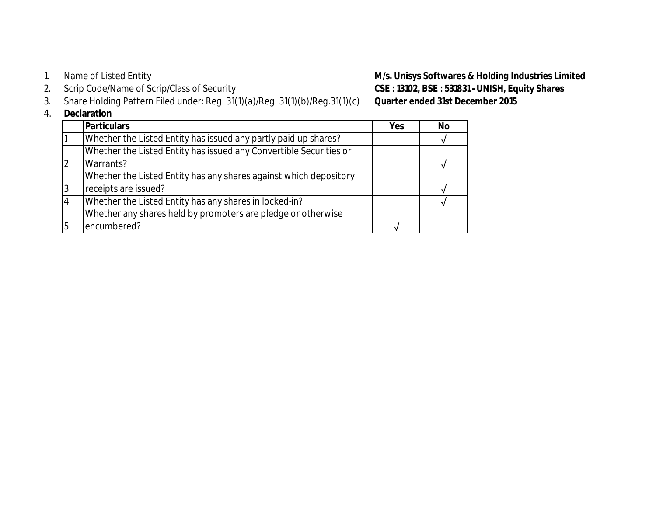- Name of Listed Entity
- Scrip Code/Name of Scrip/Class of Security
- 3. Share Holding Pattern Filed under: Reg. 31(1)(a)/Reg. 31(1)(b)/Reg.31(1)(c) **Quarter ended 31st December 2015**
- 4. **Declaration**

|    | Duulu uuvii                                                        |     |           |
|----|--------------------------------------------------------------------|-----|-----------|
|    | <b>Particulars</b>                                                 | Yes | <b>No</b> |
|    | Whether the Listed Entity has issued any partly paid up shares?    |     |           |
|    | Whether the Listed Entity has issued any Convertible Securities or |     |           |
|    | Warrants?                                                          |     |           |
|    | Whether the Listed Entity has any shares against which depository  |     |           |
|    | receipts are issued?                                               |     |           |
|    | Whether the Listed Entity has any shares in locked-in?             |     |           |
|    | Whether any shares held by promoters are pledge or otherwise       |     |           |
| I5 | encumbered?                                                        |     |           |
|    |                                                                    |     |           |

1. Name of Listed Entity<br>2. Scrip Code/Name of Scrip/Class of Security **1. Code and CSE**: 13102, BSE: 531831 - **UNISH, Equity Shares** 2. **CSE : 13102, BSE : 531831 - UNISH, Equity Shares**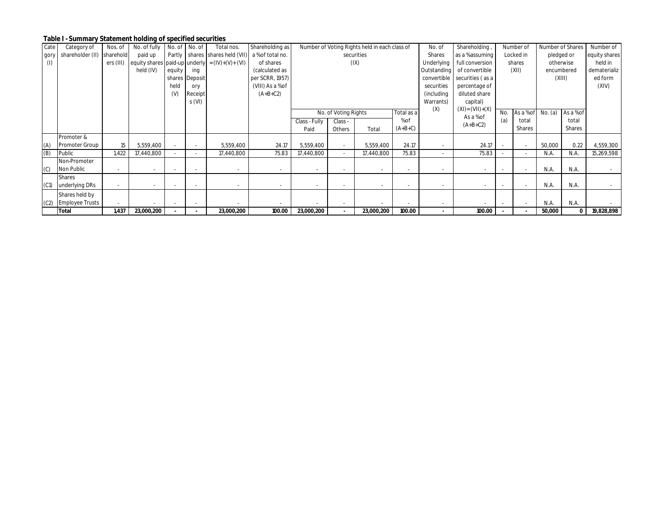## **Table I - Summary Statement holding of specified securities**

| Cate | Category of                | Nos. of   | No. of fully                  | No. of No. of |                | Total nos.                                       | Shareholding as  |               |                      | Number of Voting Rights held in each class of |            | No. of            | Shareholding,                |     | Number of                |            | Number of Shares | Number of     |
|------|----------------------------|-----------|-------------------------------|---------------|----------------|--------------------------------------------------|------------------|---------------|----------------------|-----------------------------------------------|------------|-------------------|------------------------------|-----|--------------------------|------------|------------------|---------------|
| gory | shareholder (II) sharehold |           | paid up                       |               |                | Partly shares shares held (VII) a % of total no. |                  |               |                      | securities                                    |            | Shares            | as a % assuming              |     | Locked in                |            | pledged or       | equity shares |
| (1)  |                            | ers (III) | equity shares paid-up underly |               |                | $= (IV)+(V)+(V)$                                 | of shares        |               |                      | (IX)                                          |            | <b>Underlying</b> | full conversion              |     | shares                   | otherwise  |                  | held in       |
|      |                            |           | held (IV)                     | equity        | ing            |                                                  | (calculated as   |               |                      |                                               |            |                   | Outstanding of convertible   |     | (XII)                    | encumbered |                  | dematerializ  |
|      |                            |           |                               |               | shares Deposit |                                                  | per SCRR, 1957)  |               |                      |                                               |            |                   | convertible securities (as a |     |                          |            | (XIII)           | ed form       |
|      |                            |           |                               | held          | ory            |                                                  | (VIII) As a % of |               |                      |                                               |            | securities        | percentage of                |     |                          |            |                  | (XIV)         |
|      |                            |           |                               | (V)           | Receipt        |                                                  | $(A+B+C2)$       |               |                      |                                               |            | (including        | diluted share                |     |                          |            |                  |               |
|      |                            |           |                               |               | S(VI)          |                                                  |                  |               |                      |                                               |            | Warrants)         | capital)                     |     |                          |            |                  |               |
|      |                            |           |                               |               |                |                                                  |                  |               | No. of Voting Rights |                                               | Total as a | (X)               | $(XI) = (VII)+(X)$           | No. | As a % of                | No. (a)    | As a % of        |               |
|      |                            |           |                               |               |                |                                                  |                  |               |                      |                                               | % of       |                   | As a % of                    |     |                          |            | total            |               |
|      |                            |           |                               |               |                |                                                  |                  | Class - Fully | Class -              |                                               | $(A+B+C)$  |                   | $(A+B+C2)$                   | (a) | total<br>Shares          |            | Shares           |               |
|      |                            |           |                               |               |                |                                                  |                  | Paid          | Others               | Total                                         |            |                   |                              |     |                          |            |                  |               |
|      | Promoter &                 |           |                               |               |                |                                                  |                  |               |                      |                                               |            |                   |                              |     |                          |            |                  |               |
| (A)  | <b>Promoter Group</b>      | 15        | 5,559,400                     |               |                | 5,559,400                                        | 24.17            | 5,559,400     |                      | 5,559,400                                     | 24.17      |                   | 24.17                        |     | $\sim$                   | 50,000     | 0.22             | 4,559,300     |
| (B)  | Public                     | 1.422     | 17,440,800                    |               |                | 17,440,800                                       | 75.83            | 17,440,800    |                      | 17,440,800                                    | 75.83      |                   | 75.83                        |     | $\overline{\phantom{a}}$ | N.A.       | N.A.             | 15,269,598    |
|      | Non-Promoter               |           |                               |               |                |                                                  |                  |               |                      |                                               |            |                   |                              |     |                          |            |                  |               |
| (C)  | Non Public                 |           |                               |               |                |                                                  |                  |               |                      |                                               |            |                   |                              |     | $\overline{\phantom{a}}$ | N.A.       | N.A.             |               |
|      | <b>Shares</b>              |           |                               |               |                |                                                  |                  |               |                      |                                               |            |                   |                              |     |                          |            |                  |               |
| (C1) | underlying DRs             |           | $\sim$                        |               |                |                                                  |                  |               |                      |                                               |            |                   |                              |     | $\overline{\phantom{a}}$ | N.A.       | N.A.             |               |
|      | Shares held by             |           |                               |               |                |                                                  |                  |               |                      |                                               |            |                   |                              |     |                          |            |                  |               |
|      | (C2) Employee Trusts       |           |                               |               |                |                                                  |                  |               |                      |                                               |            |                   |                              |     | $\overline{\phantom{a}}$ | N.A.       | N.A.             |               |
|      | <b>Total</b>               | 1,437     | 23,000,200                    |               |                | 23,000,200                                       | 100.00           | 23,000,200    |                      | 23,000,200                                    | 100.00     |                   | 100.00                       |     |                          | 50,000     | 0                | 19,828,898    |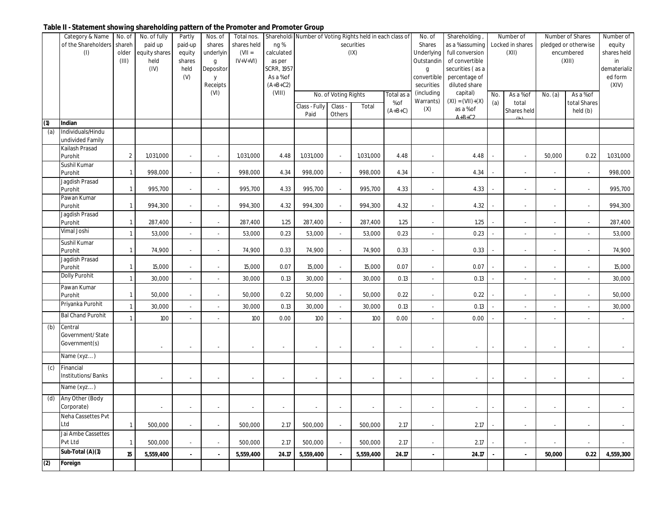## **Table II - Statement showing shareholding pattern of the Promoter and Promoter Group**

|     | Category & Name             | No. of          | No. of fully             | Partly                   | Nos. of                  | Total nos.               |                      |                          |                          | Shareholdi Number of Voting Rights held in each class of |                      | No. of                      | Shareholding                       |                             | Number of                 |                          | Number of Shares                   | Number of             |
|-----|-----------------------------|-----------------|--------------------------|--------------------------|--------------------------|--------------------------|----------------------|--------------------------|--------------------------|----------------------------------------------------------|----------------------|-----------------------------|------------------------------------|-----------------------------|---------------------------|--------------------------|------------------------------------|-----------------------|
|     | of the Shareholders<br>(1)  | shareh<br>older | paid up<br>equity shares | paid-up<br>equity        | shares<br>underlyin      | shares held<br>$(VII =$  | ng%<br>calculated    |                          |                          | securities<br>(IX)                                       |                      | Shares<br>Underlying        | as a % assuming<br>full conversion |                             | Locked in shares<br>(XII) |                          | pledged or otherwise<br>encumbered | equity<br>shares held |
|     |                             | (III)           | held                     | shares                   | g                        | $IV+V+VI)$               | as per               |                          |                          |                                                          |                      | Outstandin                  | of convertible                     |                             |                           |                          | (XIII)                             | in                    |
|     |                             |                 | (IV)                     | held                     | Depositor                |                          | <b>SCRR, 1957</b>    |                          |                          |                                                          |                      | g                           | securities (as a                   |                             |                           |                          |                                    | dematerializ          |
|     |                             |                 |                          | (V)                      | y                        |                          | As a % of            |                          |                          |                                                          |                      | convertible                 | percentage of                      |                             |                           |                          |                                    | ed form               |
|     |                             |                 |                          |                          | Receipts<br>(VI)         |                          | $(A+B+C2)$<br>(VIII) |                          |                          |                                                          |                      | securities<br>(including    | diluted share<br>capital)          |                             |                           |                          |                                    | (XIV)                 |
|     |                             |                 |                          |                          |                          |                          |                      |                          | No. of Voting Rights     |                                                          | Total as a<br>$%$ of | Warrants)                   | $(XI) = (VII)+(X)$                 | No.<br>(a)                  | As a % of<br>total        | No. (a)                  | As a % of<br>total Shares          |                       |
|     |                             |                 |                          |                          |                          |                          |                      | Class - Fully            | Class -                  | Total                                                    | $(A+B+C)$            | (X)                         | as a % of                          |                             | Shares held               |                          | held (b)                           |                       |
| (1) | Indian                      |                 |                          |                          |                          |                          |                      | Paid                     | Others                   |                                                          |                      |                             | $A+B+C2$                           |                             |                           |                          |                                    |                       |
| (a) | Individuals/Hindu           |                 |                          |                          |                          |                          |                      |                          |                          |                                                          |                      |                             |                                    |                             |                           |                          |                                    |                       |
|     | undivided Family            |                 |                          |                          |                          |                          |                      |                          |                          |                                                          |                      |                             |                                    |                             |                           |                          |                                    |                       |
|     | Kailash Prasad              |                 |                          |                          |                          |                          |                      |                          |                          |                                                          |                      |                             |                                    |                             |                           |                          |                                    |                       |
|     | Purohit                     | $\overline{2}$  | 1,031,000                | $\sim$                   | $\sim$                   | 1,031,000                | 4.48                 | 1,031,000                |                          | 1,031,000                                                | 4.48                 | $\overline{\phantom{a}}$    | 4.48                               |                             | $\sim$                    | 50,000                   | 0.22                               | 1,031,000             |
|     | Sushil Kumar                |                 |                          |                          |                          |                          |                      |                          |                          |                                                          |                      |                             |                                    |                             |                           |                          |                                    |                       |
|     | Purohit<br>Jagdish Prasad   | $\mathbf{1}$    | 998,000                  |                          | $\overline{\phantom{a}}$ | 998,000                  | 4.34                 | 998,000                  |                          | 998,000                                                  | 4.34                 | $\overline{\phantom{a}}$    | 4.34                               |                             |                           |                          | $\sim$                             | 998,000               |
|     | Purohit                     | $\overline{1}$  | 995,700                  |                          | $\sim$                   | 995,700                  | 4.33                 | 995,700                  |                          | 995,700                                                  | 4.33                 | ÷,                          | 4.33                               |                             |                           |                          |                                    | 995,700               |
|     | Pawan Kumar                 |                 |                          |                          |                          |                          |                      |                          |                          |                                                          |                      |                             |                                    |                             |                           |                          |                                    |                       |
|     | Purohit                     | $\mathbf{1}$    | 994,300                  |                          | $\sim$                   | 994,300                  | 4.32                 | 994,300                  |                          | 994,300                                                  | 4.32                 | $\overline{\phantom{a}}$    | 4.32                               |                             |                           |                          |                                    | 994,300               |
|     | Jagdish Prasad              |                 |                          |                          |                          |                          |                      |                          |                          |                                                          |                      |                             |                                    |                             |                           |                          |                                    |                       |
|     | Purohit<br>Vimal Joshi      | $\mathbf{1}$    | 287,400                  |                          | $\sim$                   | 287,400                  | 1.25                 | 287,400                  |                          | 287,400                                                  | 1.25                 | $\overline{\phantom{a}}$    | 1.25                               |                             |                           |                          |                                    | 287,400               |
|     |                             | $\overline{1}$  | 53,000                   |                          | $\mathcal{L}$            | 53,000                   | 0.23                 | 53,000                   |                          | 53,000                                                   | 0.23                 | $\mathcal{L}_{\mathcal{A}}$ | 0.23                               |                             |                           |                          |                                    | 53,000                |
|     | Sushil Kumar                | $\mathbf{1}$    | 74,900                   |                          | $\sim$                   | 74,900                   | 0.33                 | 74,900                   |                          | 74,900                                                   | 0.33                 | $\overline{\phantom{a}}$    | 0.33                               |                             |                           |                          |                                    | 74,900                |
|     | Purohit<br>Jagdish Prasad   |                 |                          |                          |                          |                          |                      |                          |                          |                                                          |                      |                             |                                    |                             |                           |                          |                                    |                       |
|     | Purohit                     | $\mathbf{1}$    | 15,000                   | $\overline{\phantom{a}}$ | $\sim$                   | 15,000                   | 0.07                 | 15,000                   |                          | 15,000                                                   | 0.07                 | $\overline{\phantom{a}}$    | 0.07                               |                             |                           |                          |                                    | 15,000                |
|     | Dolly Purohit               | $\mathbf{1}$    | 30,000                   |                          | $\mathcal{L}$            | 30,000                   | 0.13                 | 30,000                   |                          | 30,000                                                   | 0.13                 | L.                          | 0.13                               |                             |                           |                          |                                    | 30,000                |
|     | Pawan Kumar                 |                 |                          |                          |                          |                          |                      |                          |                          |                                                          |                      |                             |                                    |                             |                           |                          |                                    |                       |
|     | Purohit                     | $\mathbf{1}$    | 50,000                   |                          | $\sim$                   | 50,000                   | 0.22                 | 50,000                   |                          | 50,000                                                   | 0.22                 | $\overline{\phantom{a}}$    | 0.22                               |                             |                           |                          |                                    | 50,000                |
|     | Priyanka Purohit            |                 | 30,000                   |                          | $\sim$                   | 30,000                   | 0.13                 | 30,000                   |                          | 30,000                                                   | 0.13                 | $\overline{\phantom{a}}$    | 0.13                               |                             |                           |                          |                                    | 30,000                |
|     | <b>Bal Chand Purohit</b>    |                 | 100                      |                          | $\mathcal{L}$            | 100                      | 0.00                 | 100                      |                          | 100                                                      | 0.00                 | ÷,                          | 0.00                               |                             |                           |                          |                                    | $\sim$                |
| (b) | Central                     |                 |                          |                          |                          |                          |                      |                          |                          |                                                          |                      |                             |                                    |                             |                           |                          |                                    |                       |
|     | Government/ State           |                 |                          |                          |                          |                          |                      |                          |                          |                                                          |                      |                             |                                    |                             |                           |                          |                                    |                       |
|     | Government(s)               |                 | $\overline{\phantom{a}}$ | $\sim$                   | $\sim$                   | $\overline{\phantom{a}}$ | $\sim$               | $\overline{\phantom{a}}$ | $\overline{\phantom{a}}$ | $\sim$                                                   | $\sim$               | $\overline{\phantom{a}}$    | $\blacksquare$                     |                             |                           | $\overline{\phantom{a}}$ |                                    | $\sim$                |
|     | Name (xyz)                  |                 |                          |                          |                          |                          |                      |                          |                          |                                                          |                      |                             |                                    |                             |                           |                          |                                    |                       |
| (c) | Financial                   |                 |                          |                          |                          |                          |                      |                          |                          |                                                          |                      |                             |                                    |                             |                           |                          |                                    |                       |
|     | Institutions/Banks          |                 |                          |                          |                          |                          |                      |                          |                          |                                                          |                      |                             |                                    |                             |                           |                          |                                    |                       |
|     | Name (xyz)                  |                 |                          |                          |                          |                          |                      |                          |                          |                                                          |                      |                             |                                    |                             |                           |                          |                                    |                       |
| (d) | Any Other (Body             |                 |                          |                          |                          |                          |                      |                          |                          |                                                          |                      |                             |                                    |                             |                           |                          |                                    |                       |
|     | Corporate)                  |                 | $\sim$                   | $\sim$                   | $\sim$                   | $\sim$                   | $\sim$               | $\sim$                   | $\sim$                   | $\sim$                                                   | $\sim$               | $\mathbb{Z}^+$              | $\sim$                             | $\mathcal{L}_{\mathcal{A}}$ | $\sim$                    | $\sim$                   | $\sim$                             | $\sim$                |
|     | Neha Cassettes Pvt          |                 |                          |                          |                          |                          |                      |                          |                          |                                                          |                      |                             |                                    |                             |                           |                          |                                    |                       |
|     | Ltd                         | $\mathbf{1}$    | 500,000                  |                          | $\sim$                   | 500,000                  | 2.17                 | 500,000                  |                          | 500,000                                                  | 2.17                 | $\overline{\phantom{a}}$    | 2.17                               |                             |                           |                          |                                    | $\sim$                |
|     | Jai Ambe Cassettes          |                 |                          |                          |                          |                          |                      |                          |                          |                                                          |                      |                             |                                    |                             |                           |                          |                                    |                       |
|     | Pvt Ltd<br>Sub-Total (A)(1) | $\mathbf{1}$    | 500,000                  |                          | $\sim$                   | 500,000                  | 2.17                 | 500,000                  |                          | 500,000                                                  | 2.17                 | $\overline{\phantom{a}}$    | 2.17                               |                             |                           |                          |                                    | $\sim$                |
|     |                             | 15              | 5,559,400                |                          | $\blacksquare$           | 5,559,400                | 24.17                | 5,559,400                |                          | 5,559,400                                                | 24.17                | $\blacksquare$              | 24.17                              |                             | $\sim$                    | 50,000                   | 0.22                               | 4,559,300             |
| (2) | Foreign                     |                 |                          |                          |                          |                          |                      |                          |                          |                                                          |                      |                             |                                    |                             |                           |                          |                                    |                       |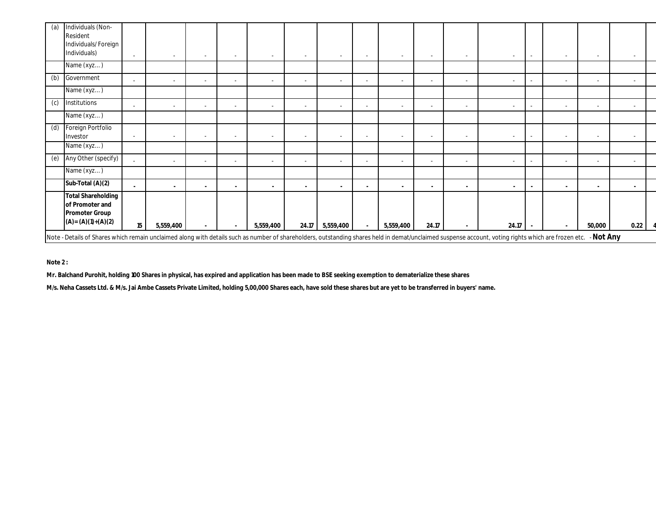| (a) | Individuals (Non-<br>Resident<br>Individuals/Foreign<br>Individuals)                                                                                                                                |    |           | $\sim$                   | $\sim$         | $\overline{a}$           |                          | $\overline{\phantom{a}}$ | $\sim$ |                          | $\overline{\phantom{a}}$ |                          | $\sim$         | $\overline{\phantom{a}}$ |                          |                          |  |
|-----|-----------------------------------------------------------------------------------------------------------------------------------------------------------------------------------------------------|----|-----------|--------------------------|----------------|--------------------------|--------------------------|--------------------------|--------|--------------------------|--------------------------|--------------------------|----------------|--------------------------|--------------------------|--------------------------|--|
|     | Name (xyz)                                                                                                                                                                                          |    |           |                          |                |                          |                          |                          |        |                          |                          |                          |                |                          |                          |                          |  |
| (b) | Government                                                                                                                                                                                          |    | $\sim$    | $\sim$                   | $\sim$         | $\overline{\phantom{a}}$ | $\overline{\phantom{a}}$ | $\overline{\phantom{a}}$ | $\sim$ | $\overline{\phantom{a}}$ | $\overline{\phantom{a}}$ | $\sim$                   | $\sim$         | $\overline{\phantom{a}}$ | $\overline{\phantom{a}}$ | $\sim$                   |  |
|     | Name (xyz)                                                                                                                                                                                          |    |           |                          |                |                          |                          |                          |        |                          |                          |                          |                |                          |                          |                          |  |
| (c) | Institutions                                                                                                                                                                                        |    |           |                          | ٠.             |                          |                          |                          |        |                          |                          |                          |                |                          |                          |                          |  |
|     | Name (xyz)                                                                                                                                                                                          |    |           |                          |                |                          |                          |                          |        |                          |                          |                          |                |                          |                          |                          |  |
| (d) | Foreign Portfolio<br>Investor                                                                                                                                                                       |    |           | $\sim$                   | $\sim$         | $\sim$                   | $\sim$                   | $\overline{\phantom{a}}$ | $\sim$ | $\sim$                   | $\overline{\phantom{a}}$ | $\overline{\phantom{a}}$ | $\sim$         | $\overline{\phantom{a}}$ | $\overline{\phantom{a}}$ | $\sim$                   |  |
|     | Name (xyz)                                                                                                                                                                                          |    |           |                          |                |                          |                          |                          |        |                          |                          |                          |                |                          |                          |                          |  |
| (e) | Any Other (specify)                                                                                                                                                                                 |    |           | $\sim$                   | $\overline{a}$ |                          |                          |                          |        | $\sim$                   |                          |                          | $\overline{a}$ |                          |                          | $\overline{\phantom{a}}$ |  |
|     | Name (xyz)                                                                                                                                                                                          |    |           |                          |                |                          |                          |                          |        |                          |                          |                          |                |                          |                          |                          |  |
|     | Sub-Total (A)(2)                                                                                                                                                                                    |    | ۰.        | $\overline{\phantom{a}}$ | $\sim$         | $\blacksquare$           |                          | ۰.                       | $\sim$ | $\blacksquare$           | $\blacksquare$           |                          | $\sim$         | $\blacksquare$           | $\blacksquare$           | $\blacksquare$           |  |
|     | <b>Total Shareholding</b><br>of Promoter and<br><b>Promoter Group</b><br>$(A)=(A)(1)+(A)(2)$                                                                                                        | 15 | 5,559,400 |                          |                | 5,559,400                |                          | 24.17 5,559,400          |        | 5,559,400                | 24.17                    |                          | 24.17          |                          | 50,000                   | 0.22                     |  |
|     | Note - Details of Shares which remain unclaimed along with details such as number of shareholders, outstanding shares held in demat/unclaimed suspense account, voting rights which are frozen etc. |    |           |                          |                |                          |                          |                          |        |                          |                          |                          |                |                          | - Not Any                |                          |  |

**Note 2 :**

**Mr. Balchand Purohit, holding 100 Shares in physical, has expired and application has been made to BSE seeking exemption to dematerialize these shares** 

**M/s. Neha Cassets Ltd. & M/s. Jai Ambe Cassets Private Limited, holding 5,00,000 Shares each, have sold these shares but are yet to be transferred in buyers' name.**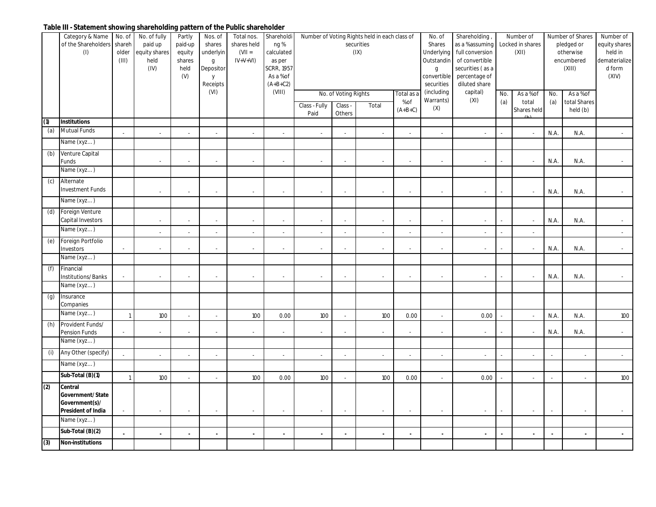## **Table III - Statement showing shareholding pattern of the Public shareholder**

|     | Category & Name                 | No. of                      | No. of fully  | Partly                   | Nos. of                     | Total nos.               | Shareholdi        |               |                      | Number of Voting Rights held in each class of |                | No. of                   | Shareholding                |     | Number of        |      | Number of Shares | Number of     |
|-----|---------------------------------|-----------------------------|---------------|--------------------------|-----------------------------|--------------------------|-------------------|---------------|----------------------|-----------------------------------------------|----------------|--------------------------|-----------------------------|-----|------------------|------|------------------|---------------|
|     | of the Shareholders             | shareh                      | paid up       | paid-up                  | shares                      | shares held              | ng%               |               |                      | securities                                    |                | Shares                   | as a % assuming             |     | Locked in shares |      | pledged or       | equity shares |
|     | (1)                             | older                       | equity shares | equity                   | underlyin                   | $(VII =$                 | calculated        |               |                      | (IX)                                          |                | Underlying               | full conversion             |     | (XII)            |      | otherwise        | held in       |
|     |                                 | (III)                       | held          | shares                   | $\mathsf g$                 | $IV+V+VI)$               | as per            |               |                      |                                               |                | Outstandin               | of convertible              |     |                  |      | encumbered       | dematerialize |
|     |                                 |                             | (IV)          | held                     | Depositor                   |                          | <b>SCRR, 1957</b> |               |                      |                                               |                | $\mathsf{g}$             | securities (as a            |     |                  |      | (XIII)           | d form        |
|     |                                 |                             |               | (V)                      | y                           |                          | As a % of         |               |                      |                                               |                | convertible              | percentage of               |     |                  |      |                  | (XIV)         |
|     |                                 |                             |               |                          | Receipts                    |                          | $(A+B+C2)$        |               |                      |                                               |                | securities               | diluted share               |     |                  |      |                  |               |
|     |                                 |                             |               |                          | (VI)                        |                          | (VIII)            |               | No. of Voting Rights |                                               | Total as a     | (including               | capital)                    | No. | As a % of        | No.  | As a % of        |               |
|     |                                 |                             |               |                          |                             |                          |                   | Class - Fully | Class -              | Total                                         | % of           | Warrants)                | (XI)                        | (a) | total            | (a)  | total Shares     |               |
|     |                                 |                             |               |                          |                             |                          |                   | Paid          | Others               |                                               | $(A+B+C)$      | (X)                      |                             |     | Shares held      |      | held (b)         |               |
| (1) | <b>Institutions</b>             |                             |               |                          |                             |                          |                   |               |                      |                                               |                |                          |                             |     |                  |      |                  |               |
| (a) | <b>Mutual Funds</b>             |                             |               |                          | $\mathbf{r}$                |                          |                   |               |                      | ÷.                                            |                |                          |                             |     | $\sim$           | N.A. | N.A.             |               |
|     | Name (xyz)                      |                             |               |                          |                             |                          |                   |               |                      |                                               |                |                          |                             |     |                  |      |                  |               |
| (b) | Venture Capital                 |                             |               |                          |                             |                          |                   |               |                      |                                               |                |                          |                             |     |                  |      |                  |               |
|     | Funds                           |                             |               | $\sim$                   | $\mathbf{r}$                | ÷.                       |                   |               | ÷,                   | ÷.                                            |                |                          | $\mathcal{L}$               |     | $\sim$           | N.A. | N.A.             |               |
|     | Name (xyz)                      |                             |               |                          |                             |                          |                   |               |                      |                                               |                |                          |                             |     |                  |      |                  |               |
| (c) | Alternate                       |                             |               |                          |                             |                          |                   |               |                      |                                               |                |                          |                             |     |                  |      |                  |               |
|     | <b>Investment Funds</b>         |                             |               |                          |                             |                          |                   |               |                      |                                               |                |                          |                             |     |                  |      |                  |               |
|     |                                 |                             |               | $\overline{\phantom{a}}$ | $\mathcal{L}_{\mathcal{A}}$ |                          |                   |               | ÷,                   | $\overline{\phantom{a}}$                      |                |                          | $\mathcal{L}$               |     | ÷.               | N.A. | N.A.             |               |
|     | Name (xyz)                      |                             |               |                          |                             |                          |                   |               |                      |                                               |                |                          |                             |     |                  |      |                  |               |
| (d) | Foreign Venture                 |                             |               |                          |                             |                          |                   |               |                      |                                               |                |                          |                             |     |                  |      |                  |               |
|     | Capital Investors<br>Name (xyz) |                             |               |                          |                             |                          |                   |               |                      |                                               |                |                          |                             |     | $\blacksquare$   | N.A. | N.A.             |               |
|     |                                 |                             |               |                          | $\mathcal{L}_{\mathcal{A}}$ | $\overline{\phantom{a}}$ |                   |               |                      | $\overline{\phantom{a}}$                      |                | $\overline{\phantom{a}}$ | $\mathcal{L}_{\mathcal{A}}$ |     | ÷,               |      |                  |               |
| (e) | Foreign Portfolio<br>Investors  | $\mathcal{L}_{\mathcal{A}}$ |               |                          | ÷                           | $\sim$                   |                   |               |                      | ÷                                             |                |                          | ÷                           |     | ÷.               | N.A. | N.A.             |               |
|     | Name (xyz)                      |                             |               |                          |                             |                          |                   |               |                      |                                               |                |                          |                             |     |                  |      |                  |               |
| (f) | Financial                       |                             |               |                          |                             |                          |                   |               |                      |                                               |                |                          |                             |     |                  |      |                  |               |
|     | <b>Institutions/Banks</b>       |                             |               |                          |                             |                          |                   |               |                      |                                               |                |                          |                             |     |                  | N.A. | N.A.             |               |
|     | Name (xyz)                      |                             |               |                          |                             |                          |                   |               |                      |                                               |                |                          |                             |     |                  |      |                  |               |
| (g) | Insurance                       |                             |               |                          |                             |                          |                   |               |                      |                                               |                |                          |                             |     |                  |      |                  |               |
|     | Companies                       |                             |               |                          |                             |                          |                   |               |                      |                                               |                |                          |                             |     |                  |      |                  |               |
|     | Name (xyz)                      | $\overline{1}$              | 100           |                          | $\mathbf{r}$                | 100                      | 0.00              | 100           |                      | 100                                           | 0.00           |                          | 0.00                        |     | $\sim$           | N.A. | N.A.             | 100           |
| (h) | Provident Funds/                |                             |               |                          |                             |                          |                   |               |                      |                                               |                |                          |                             |     |                  |      |                  |               |
|     | Pension Funds                   | $\sim$                      |               |                          | $\sim$                      |                          |                   |               |                      |                                               |                |                          | $\sim$                      |     | $\sim$           | N.A. | N.A.             |               |
|     | Name (xyz)                      |                             |               |                          |                             |                          |                   |               |                      |                                               |                |                          |                             |     |                  |      |                  |               |
| (i) | Any Other (specify)             |                             |               |                          | $\sim$                      | $\overline{\phantom{a}}$ |                   |               |                      | $\overline{\phantom{a}}$                      |                | $\overline{\phantom{a}}$ | $\sim$                      |     | ÷.               |      |                  |               |
|     | Name (xyz)                      |                             |               |                          |                             |                          |                   |               |                      |                                               |                |                          |                             |     |                  |      |                  |               |
|     | Sub-Total (B)(1)                | $\overline{1}$              | 100           | $\sim$                   | $\sim$                      | 100                      | 0.00              | 100           | ÷.                   | 100                                           | 0.00           | $\sim$                   | 0.00                        |     | $\sim$           |      | $\overline{a}$   | 100           |
| (2) | Central                         |                             |               |                          |                             |                          |                   |               |                      |                                               |                |                          |                             |     |                  |      |                  |               |
|     | <b>Government/State</b>         |                             |               |                          |                             |                          |                   |               |                      |                                               |                |                          |                             |     |                  |      |                  |               |
|     | Government(s)/                  |                             |               |                          |                             |                          |                   |               |                      |                                               |                |                          |                             |     |                  |      |                  |               |
|     | <b>President of India</b>       |                             |               |                          |                             |                          |                   |               |                      |                                               |                |                          |                             |     |                  |      |                  |               |
|     | Name (xyz)                      |                             |               |                          |                             |                          |                   |               |                      |                                               |                |                          |                             |     |                  |      |                  |               |
|     | Sub-Total (B)(2)                | $\mathbf{r}$                | $\sim$        | $\blacksquare$           | $\blacksquare$              | $\sim$                   | $\sim$            | $\sim$        | $\blacksquare$       | $\blacksquare$                                | $\blacksquare$ | $\blacksquare$           | $\sim$                      | ä,  | $\sim$           |      | $\blacksquare$   | $\sim$        |
| (3) | <b>Non-institutions</b>         |                             |               |                          |                             |                          |                   |               |                      |                                               |                |                          |                             |     |                  |      |                  |               |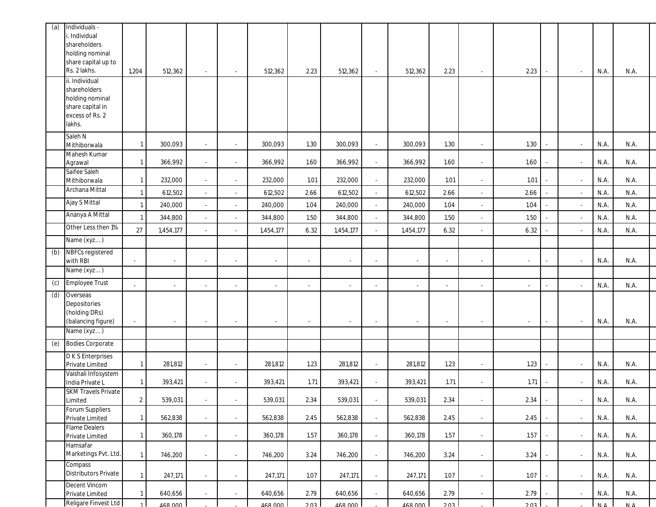| (a) | Individuals -<br>. Individual<br>shareholders<br>holding nominal<br>share capital up to<br>Rs. 2 lakhs.<br>ii. Individual | 1,204          | 512,362                     | $\sim$ | $\sim$                      | 512,362                  | 2.23           | 512,362   | $\overline{\phantom{a}}$ | 512,362   | 2.23   | $\sim$                   | 2.23   | $\blacksquare$           | N.A.       | N.A.       |  |
|-----|---------------------------------------------------------------------------------------------------------------------------|----------------|-----------------------------|--------|-----------------------------|--------------------------|----------------|-----------|--------------------------|-----------|--------|--------------------------|--------|--------------------------|------------|------------|--|
|     | shareholders<br>holding nominal<br>share capital in<br>excess of Rs. 2<br>lakhs.                                          |                |                             |        |                             |                          |                |           |                          |           |        |                          |        |                          |            |            |  |
|     | Saleh N<br>Mithiborwala                                                                                                   |                | 300,093                     |        | ×.                          | 300,093                  | 1.30           | 300,093   | ÷                        | 300,093   | 1.30   |                          | 1.30   | $\ddot{\phantom{1}}$     | N.A.       | N.A.       |  |
|     | Mahesh Kumar<br>Agrawal                                                                                                   |                | 366,992                     |        | ÷,                          | 366,992                  | 1.60           | 366,992   | ×,                       | 366,992   | 1.60   |                          | 1.60   |                          | N.A.       | N.A.       |  |
|     | Saifee Saleh<br>Mithiborwala                                                                                              |                | 232,000                     |        | $\sim$                      | 232,000                  | 1.01           | 232,000   | $\bar{\phantom{a}}$      | 232,000   | 1.01   |                          | 1.01   |                          | N.A.       | N.A.       |  |
|     | Archana Mittal                                                                                                            |                | 612,502                     |        | $\overline{\phantom{a}}$    | 612,502                  | 2.66           | 612,502   | $\blacksquare$           | 612,502   | 2.66   |                          | 2.66   |                          | N.A.       | N.A.       |  |
|     | Ajay S Mittal                                                                                                             |                | 240,000                     |        | $\overline{\phantom{a}}$    | 240,000                  | 1.04           | 240,000   | $\overline{\phantom{a}}$ | 240,000   | 1.04   | $\sim$                   | 1.04   |                          | N.A.       | N.A.       |  |
|     | Ananya A Mittal                                                                                                           |                | 344,800                     |        | $\blacksquare$              | 344,800                  | 1.50           | 344,800   | $\blacksquare$           | 344,800   | 1.50   |                          | 1.50   |                          | N.A.       | N.A.       |  |
|     | Other Less then 1%                                                                                                        | 27             | 1,454,177                   |        | $\overline{\phantom{a}}$    | 1,454,177                | 6.32           | 1,454,177 |                          | 1,454,177 | 6.32   |                          | 6.32   |                          | N.A.       | N.A.       |  |
|     | Name (xyz)                                                                                                                |                |                             |        |                             |                          |                |           |                          |           |        |                          |        |                          |            |            |  |
| (b) | <b>NBFCs registered</b><br>with RBI                                                                                       | $\sim$         | ÷                           |        | ×.                          | $\overline{\phantom{a}}$ | $\blacksquare$ | ×,        | $\sim$                   |           | $\sim$ |                          | $\sim$ |                          | N.A.       | N.A.       |  |
|     | Name (xyz)                                                                                                                |                |                             |        |                             |                          |                |           |                          |           |        |                          |        |                          |            |            |  |
| (c) | <b>Employee Trust</b>                                                                                                     | $\sim$         | $\mathcal{L}_{\mathcal{A}}$ | $\sim$ | ×,                          | $\sim$                   | ×.             | ×,        | ÷                        | ×,        | $\sim$ |                          | $\sim$ |                          | N.A.       | N.A.       |  |
| (d) | Overseas<br>Depositories<br>(holding DRs)<br>(balancing figure)<br>Name (xyz)                                             |                |                             |        |                             |                          |                |           |                          |           |        |                          |        |                          | N.A.       | N.A.       |  |
| (e) | <b>Bodies Corporate</b>                                                                                                   |                |                             |        |                             |                          |                |           |                          |           |        |                          |        |                          |            |            |  |
|     | <b>DKS</b> Enterprises<br>Private Limited                                                                                 |                | 281,812                     |        | $\overline{\phantom{a}}$    | 281,812                  | 1.23           | 281,812   | $\overline{\phantom{a}}$ | 281,812   | 1.23   |                          | 1.23   | ÷,                       | N.A.       | N.A.       |  |
|     | Vaishali Infosystem<br>India Private L                                                                                    |                | 393,421                     |        | $\blacksquare$              | 393,421                  | 1.71           | 393,421   |                          | 393,421   | 1.71   |                          | 1.71   |                          | N.A.       | N.A.       |  |
|     | <b>SKM Travels Private</b><br>Limited                                                                                     | $\overline{2}$ | 539,031                     | $\sim$ | $\mathcal{L}_{\mathcal{A}}$ | 539,031                  | 2.34           | 539,031   | $\bar{\phantom{a}}$      | 539,031   | 2.34   | $\sim$                   | 2.34   | $\overline{\phantom{a}}$ | N.A.       | N.A.       |  |
|     | Forum Suppliers<br>Private Limited                                                                                        |                | 562,838                     |        | $\mathcal{L}_{\mathcal{A}}$ | 562,838                  | 2.45           | 562,838   | $\blacksquare$           | 562,838   | 2.45   |                          | 2.45   | ÷,                       | N.A.       | N.A.       |  |
|     | <b>Flame Dealers</b><br>Private Limited                                                                                   |                | 360,178                     |        | $\mathcal{L}_{\mathcal{A}}$ | 360,178                  | 1.57           | 360,178   | $\sim$                   | 360,178   | 1.57   |                          | 1.57   | ÷,                       | N.A.       | N.A.       |  |
|     | Hamsafar<br>Marketings Pvt. Ltd.                                                                                          |                |                             |        |                             |                          |                |           |                          |           |        |                          |        |                          |            |            |  |
|     | Compass                                                                                                                   |                | 746,200                     | $\sim$ | $\mathcal{L}$               | 746,200                  | 3.24           | 746,200   | $\omega$                 | 746,200   | 3.24   | $\sim$                   | 3.24   | ÷,                       | N.A.       | N.A.       |  |
|     | <b>Distributors Private</b><br>Decent Vincom                                                                              |                | 247,171                     |        | $\sim$                      | 247,171                  | 1.07           | 247,171   | $\blacksquare$           | 247,171   | 1.07   |                          | 1.07   |                          | N.A.       | N.A.       |  |
|     | Private Limited                                                                                                           |                | 640,656                     |        | $\sim$                      | 640,656                  | 2.79           | 640,656   |                          | 640,656   | 2.79   | $\overline{\phantom{a}}$ | 2.79   | $\overline{\phantom{a}}$ | N.A.       | N.A.       |  |
|     | Religare Finvest Ltd                                                                                                      |                | 468,000                     |        |                             | $\frac{168000}{2}$       | 203            | 468,000   |                          | 468,000   | 203    |                          | 203    |                          | $N \Delta$ | $N \Delta$ |  |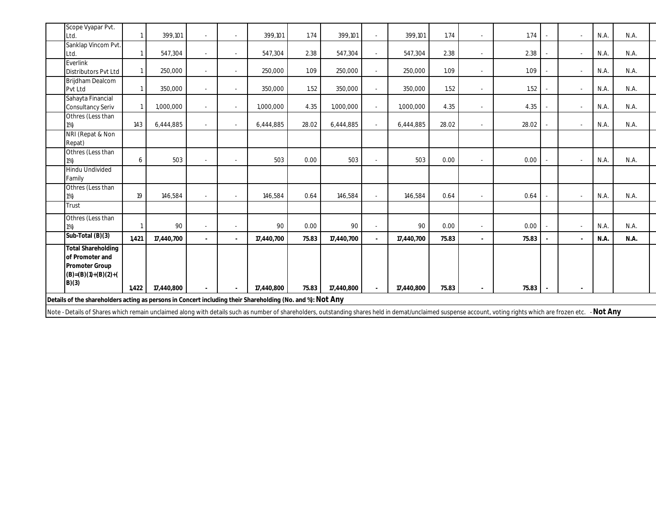| Details of the shareholders acting as persons in Concert including their Shareholding (No. and %): Not Any      |       |            |    |            |       |            |            |       |   |       |                |      |      |
|-----------------------------------------------------------------------------------------------------------------|-------|------------|----|------------|-------|------------|------------|-------|---|-------|----------------|------|------|
| <b>Total Shareholding</b><br>of Promoter and<br><b>Promoter Group</b><br>$(B)=(B)(1)+(B)(2)+(B)(C)(C)$<br>B)(3) | 1,422 | 17,440,800 |    | 17,440,800 | 75.83 | 17,440,800 | 17,440,800 | 75.83 |   | 75.83 |                |      |      |
| Sub-Total (B)(3)                                                                                                | 1.421 | 17,440,700 |    | 17,440,700 | 75.83 | 17,440,700 | 17,440,700 | 75.83 |   | 75.83 |                | N.A. | N.A. |
| Othres (Less than<br>1%)                                                                                        |       | 90         |    | 90         | 0.00  | 90         | 90         | 0.00  |   | 0.00  |                | N.A. | N.A. |
| Trust                                                                                                           |       |            |    |            |       |            |            |       |   |       |                |      |      |
| Othres (Less than<br>$1\%)$                                                                                     | 19    | 146,584    | ä, | 146,584    | 0.64  | 146,584    | 146,584    | 0.64  | ÷ | 0.64  | $\overline{a}$ | N.A. | N.A. |
| <b>Hindu Undivided</b><br>Family                                                                                |       |            |    |            |       |            |            |       |   |       |                |      |      |
| Othres (Less than<br>$1\%)$                                                                                     | 6     | 503        |    | 503        | 0.00  | 503        | 503        | 0.00  |   | 0.00  |                | N.A. | N.A. |
| NRI (Repat & Non<br>Repat)                                                                                      |       |            |    |            |       |            |            |       |   |       |                |      |      |
| Othres (Less than<br>$1\%)$                                                                                     | 143   | 6,444,885  |    | 6,444,885  | 28.02 | 6,444,885  | 6,444,885  | 28.02 |   | 28.02 |                | N.A. | N.A. |
| Sahayta Financial<br>Consultancy Seriv                                                                          |       | 1,000,000  | ÷  | 1,000,000  | 4.35  | 1,000,000  | 1,000,000  | 4.35  |   | 4.35  |                | N.A. | N.A. |
| Brijdham Dealcom<br>Pvt Ltd                                                                                     |       | 350,000    |    | 350,000    | 1.52  | 350,000    | 350,000    | 1.52  |   | 1.52  |                | N.A. | N.A. |
| Everlink<br><b>Distributors Pvt Ltd</b>                                                                         |       | 250,000    |    | 250,000    | 1.09  | 250,000    | 250,000    | 1.09  |   | 1.09  |                | N.A. | N.A. |
| Sanklap Vincom Pvt.<br>Ltd.                                                                                     |       | 547.304    |    | 547,304    | 2.38  | 547,304    | 547,304    | 2.38  |   | 2.38  |                | N.A. | N.A. |
| Scope Vyapar Pvt.<br>Ltd.                                                                                       |       | 399.101    |    | 399,101    | 1.74  | 399,101    | 399,101    | 1.74  |   | 1.74  |                | N.A. | N.A. |